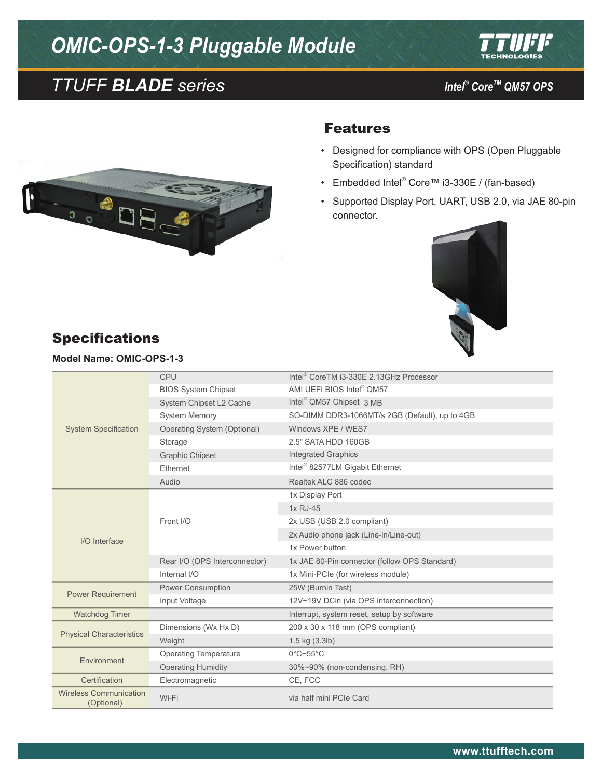# *OMIC-OPS-1-3 Pluggable Module*





*Intel<sup>®</sup> Core™ QM57 OPS* 



#### Features

- • Designed for compliance with OPS (Open Pluggable Specification) standard
- • Embedded Intel® Core™ i3-330E / (fan-based)
- • Supported Display Port, UART, USB 2.0, via JAE 80-pin connector.



## Specifications

**Model Name: OMIC-OPS-1-3**

| <b>System Specification</b>                 | CPU                           | Intel <sup>®</sup> CoreTM i3-330E 2.13GHz Processor |
|---------------------------------------------|-------------------------------|-----------------------------------------------------|
|                                             | <b>BIOS System Chipset</b>    | AMI UEFI BIOS Intel <sup>®</sup> QM57               |
|                                             | System Chipset L2 Cache       | Intel <sup>®</sup> QM57 Chipset 3 MB                |
|                                             | <b>System Memory</b>          | SO-DIMM DDR3-1066MT/s 2GB (Default), up to 4GB      |
|                                             | Operating System (Optional)   | Windows XPE / WES7                                  |
|                                             | Storage                       | 2.5" SATA HDD 160GB                                 |
|                                             | <b>Graphic Chipset</b>        | <b>Integrated Graphics</b>                          |
|                                             | Ethernet                      | Intel <sup>®</sup> 82577LM Gigabit Ethernet         |
|                                             | Audio                         | Realtek ALC 886 codec                               |
| I/O Interface                               | Front I/O                     | 1x Display Port                                     |
|                                             |                               | 1x RJ-45                                            |
|                                             |                               | 2x USB (USB 2.0 compliant)                          |
|                                             |                               | 2x Audio phone jack (Line-in/Line-out)              |
|                                             |                               | 1x Power button                                     |
|                                             | Rear I/O (OPS Interconnector) | 1x JAE 80-Pin connector (follow OPS Standard)       |
|                                             | Internal I/O                  | 1x Mini-PCIe (for wireless module)                  |
| <b>Power Requirement</b>                    | Power Consumption             | 25W (Burnin Test)                                   |
|                                             | Input Voltage                 | 12V~19V DCin (via OPS interconnection)              |
| <b>Watchdog Timer</b>                       |                               | Interrupt, system reset, setup by software          |
| <b>Physical Characteristics</b>             | Dimensions (Wx Hx D)          | 200 x 30 x 118 mm (OPS compliant)                   |
|                                             | Weight                        | $1.5$ kg $(3.3$ lb)                                 |
| Environment                                 | <b>Operating Temperature</b>  | $0^{\circ}$ C~55 $^{\circ}$ C                       |
|                                             | <b>Operating Humidity</b>     | 30%~90% (non-condensing, RH)                        |
| Certification                               | Electromagnetic               | CE, FCC                                             |
| <b>Wireless Communication</b><br>(Optional) | Wi-Fi                         | via half mini PCIe Card                             |